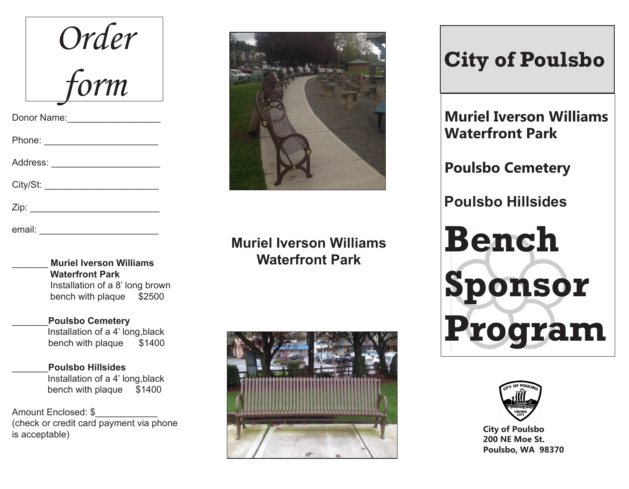| Order                        |
|------------------------------|
| form                         |
| Donor Name:                  |
| Phone: __________________    |
| Address: ___________________ |
| City/St:                     |
| Zip: __________              |
| email:                       |

\_\_\_\_\_\_\_ **Muriel Iverson Williams Waterfront Park**  Installation of a 8' long brown bench with plaque \$2500

\_\_\_\_\_\_\_**Poulsbo Cemetery** Installation of a 4' long,black bench with plaque \$1400

\_\_\_\_\_\_\_**Poulsbo Hillsides**  Installation of a 4' long,black bench with plaque \$1400

Amount Enclosed: \$ (check or credit card payment via phone is acceptable)



**Muriel Iverson Williams Waterfront Park**



## **City of Poulsbo**

**Muriel Iverson Williams Waterfront Park** 

**Poulsbo Cemetery**

**Poulsbo Hillsides** 

**Bench Sponsor Program**



**City of Poulsbo 200 NE Moe St. Poulsbo, WA 98370**